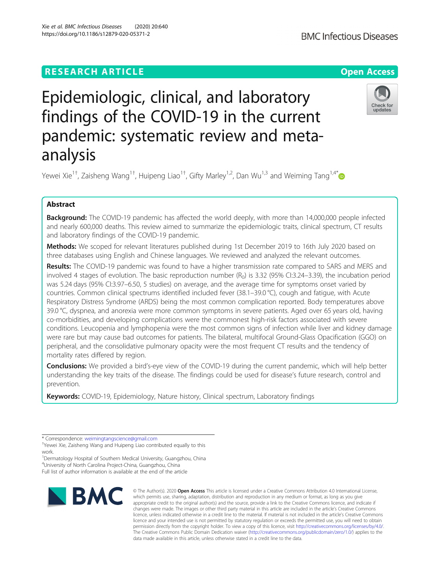# **RESEARCH ARTICLE Example 2014 12:30 The Contract of Contract ACCESS**

# Epidemiologic, clinical, and laboratory findings of the COVID-19 in the current pandemic: systematic review and metaanalysis

Yewei Xie<sup>1†</sup>, Zaisheng Wang<sup>1†</sup>, Huipeng Liao<sup>1†</sup>, Gifty Marley<sup>1,2</sup>, Dan Wu<sup>1,3</sup> and Weiming Tang<sup>1,4[\\*](http://orcid.org/0000-0002-9026-707X)</sup>

# Abstract

Background: The COVID-19 pandemic has affected the world deeply, with more than 14,000,000 people infected and nearly 600,000 deaths. This review aimed to summarize the epidemiologic traits, clinical spectrum, CT results and laboratory findings of the COVID-19 pandemic.

Methods: We scoped for relevant literatures published during 1st December 2019 to 16th July 2020 based on three databases using English and Chinese languages. We reviewed and analyzed the relevant outcomes.

Results: The COVID-19 pandemic was found to have a higher transmission rate compared to SARS and MERS and involved 4 stages of evolution. The basic reproduction number  $(R_0)$  is 3.32 (95% CI:3.24–3.39), the incubation period was 5.24 days (95% CI:3.97–6.50, 5 studies) on average, and the average time for symptoms onset varied by countries. Common clinical spectrums identified included fever (38.1–39.0 °C), cough and fatigue, with Acute Respiratory Distress Syndrome (ARDS) being the most common complication reported. Body temperatures above 39.0 °C, dyspnea, and anorexia were more common symptoms in severe patients. Aged over 65 years old, having co-morbidities, and developing complications were the commonest high-risk factors associated with severe conditions. Leucopenia and lymphopenia were the most common signs of infection while liver and kidney damage were rare but may cause bad outcomes for patients. The bilateral, multifocal Ground-Glass Opacification (GGO) on peripheral, and the consolidative pulmonary opacity were the most frequent CT results and the tendency of mortality rates differed by region.

Conclusions: We provided a bird's-eye view of the COVID-19 during the current pandemic, which will help better understanding the key traits of the disease. The findings could be used for disease's future research, control and prevention.

Keywords: COVID-19, Epidemiology, Nature history, Clinical spectrum, Laboratory findings

<sup>1</sup>Dermatology Hospital of Southern Medical University, Guangzhou, China 4 University of North Carolina Project-China, Guangzhou, China Full list of author information is available at the end of the article



© The Author(s), 2020 **Open Access** This article is licensed under a Creative Commons Attribution 4.0 International License,





<sup>\*</sup> Correspondence: [weimingtangscience@gmail.com](mailto:weimingtangscience@gmail.com) †

<sup>&</sup>lt;sup>+</sup>Yewei Xie, Zaisheng Wang and Huipeng Liao contributed equally to this work.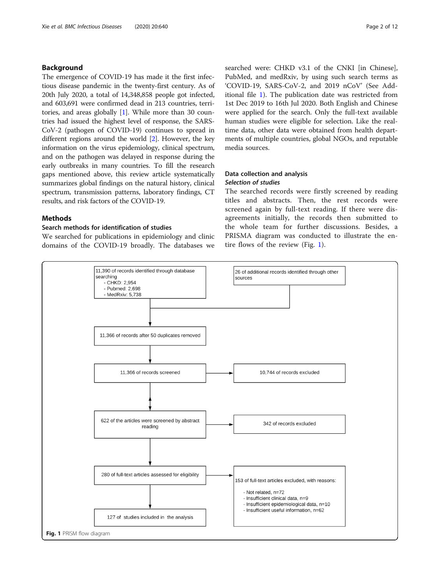# <span id="page-1-0"></span>Background

The emergence of COVID-19 has made it the first infectious disease pandemic in the twenty-first century. As of 20th July 2020, a total of 14,348,858 people got infected, and 603,691 were confirmed dead in 213 countries, territories, and areas globally [\[1\]](#page-8-0). While more than 30 countries had issued the highest level of response, the SARS-CoV-2 (pathogen of COVID-19) continues to spread in different regions around the world [\[2](#page-8-0)]. However, the key information on the virus epidemiology, clinical spectrum, and on the pathogen was delayed in response during the early outbreaks in many countries. To fill the research gaps mentioned above, this review article systematically summarizes global findings on the natural history, clinical spectrum, transmission patterns, laboratory findings, CT results, and risk factors of the COVID-19.

## Methods

#### Search methods for identification of studies

We searched for publications in epidemiology and clinic domains of the COVID-19 broadly. The databases we searched were: CHKD v3.1 of the CNKI [in Chinese], PubMed, and medRxiv, by using such search terms as 'COVID-19, SARS-CoV-2, and 2019 nCoV' (See Additional file [1](#page-8-0)). The publication date was restricted from 1st Dec 2019 to 16th Jul 2020. Both English and Chinese were applied for the search. Only the full-text available human studies were eligible for selection. Like the realtime data, other data were obtained from health departments of multiple countries, global NGOs, and reputable media sources.

# Data collection and analysis Selection of studies

The searched records were firstly screened by reading titles and abstracts. Then, the rest records were screened again by full-text reading. If there were disagreements initially, the records then submitted to the whole team for further discussions. Besides, a PRISMA diagram was conducted to illustrate the entire flows of the review (Fig. 1).

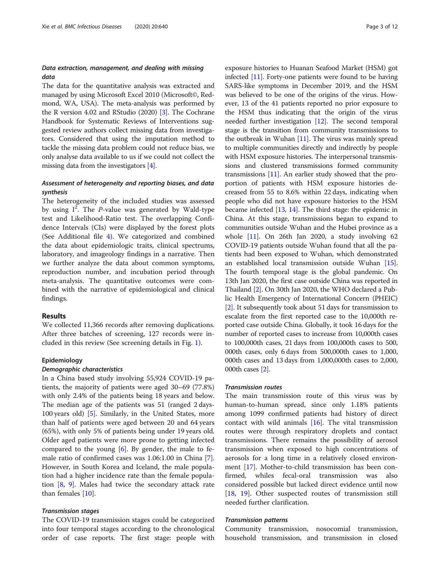# Data extraction, management, and dealing with missing data

The data for the quantitative analysis was extracted and managed by using Microsoft Excel 2010 (Microsoft©, Redmond, WA, USA). The meta-analysis was performed by the R version 4.02 and RStudio (2020) [\[3\]](#page-8-0). The Cochrane Handbook for Systematic Reviews of Interventions suggested review authors collect missing data from investigators. Considered that using the imputation method to tackle the missing data problem could not reduce bias, we only analyse data available to us if we could not collect the missing data from the investigators [\[4](#page-8-0)].

# Assessment of heterogeneity and reporting biases, and data synthesis

The heterogeneity of the included studies was assessed by using  $I^2$ . The P-value was generated by Wald-type test and Likelihood-Ratio test. The overlapping Confidence Intervals (CIs) were displayed by the forest plots (See Additional file [4](#page-8-0)). We categorized and combined the data about epidemiologic traits, clinical spectrums, laboratory, and imageology findings in a narrative. Then we further analyze the data about common symptoms, reproduction number, and incubation period through meta-analysis. The quantitative outcomes were combined with the narrative of epidemiological and clinical findings.

# Results

We collected 11,366 records after removing duplications. After three batches of screening, 127 records were included in this review (See screening details in Fig. [1\)](#page-1-0).

#### Epidemiology

#### Demographic characteristics

In a China based study involving 55,924 COVID-19 patients, the majority of patients were aged 30–69 (77.8%) with only 2.4% of the patients being 18 years and below. The median age of the patients was 51 (ranged 2 days-100 years old) [\[5](#page-8-0)]. Similarly, in the United States, more than half of patients were aged between 20 and 64 years (65%), with only 5% of patients being under 19 years old. Older aged patients were more prone to getting infected compared to the young  $[6]$  $[6]$ . By gender, the male to female ratio of confirmed cases was 1.06:1.00 in China [\[7](#page-8-0)]. However, in South Korea and Iceland, the male population had a higher incidence rate than the female population [[8,](#page-8-0) [9\]](#page-8-0). Males had twice the secondary attack rate than females [[10](#page-8-0)].

# Transmission stages

The COVID-19 transmission stages could be categorized into four temporal stages according to the chronological order of case reports. The first stage: people with

exposure histories to Huanan Seafood Market (HSM) got infected [\[11\]](#page-8-0). Forty-one patients were found to be having SARS-like symptoms in December 2019, and the HSM was believed to be one of the origins of the virus. However, 13 of the 41 patients reported no prior exposure to the HSM thus indicating that the origin of the virus needed further investigation [\[12\]](#page-8-0). The second temporal stage is the transition from community transmissions to the outbreak in Wuhan  $[11]$  $[11]$ . The virus was mainly spread to multiple communities directly and indirectly by people with HSM exposure histories. The interpersonal transmissions and clustered transmissions formed community transmissions  $[11]$  $[11]$  $[11]$ . An earlier study showed that the proportion of patients with HSM exposure histories decreased from 55 to 8.6% within 22 days, indicating when people who did not have exposure histories to the HSM became infected [\[13,](#page-8-0) [14\]](#page-8-0). The third stage: the epidemic in China. At this stage, transmissions began to expand to communities outside Wuhan and the Hubei province as a whole [[11](#page-8-0)]. On 26th Jan 2020, a study involving 62 COVID-19 patients outside Wuhan found that all the patients had been exposed to Wuhan, which demonstrated an established local transmission outside Wuhan [[15](#page-8-0)]. The fourth temporal stage is the global pandemic. On 13th Jan 2020, the first case outside China was reported in Thailand [\[2\]](#page-8-0). On 30th Jan 2020, the WHO declared a Public Health Emergency of International Concern (PHEIC) [[2\]](#page-8-0). It subsequently took about 51 days for transmission to escalate from the first reported case to the 10,000th reported case outside China. Globally, it took 16 days for the number of reported cases to increase from 10,000th cases to 100,000th cases, 21 days from 100,000th cases to 500, 000th cases, only 6 days from 500,000th cases to 1,000, 000th cases and 13 days from 1,000,000th cases to 2,000, 000th cases [\[2\]](#page-8-0).

#### Transmission routes

The main transmission route of this virus was by human-to-human spread, since only 1.18% patients among 1099 confirmed patients had history of direct contact with wild animals  $[16]$  $[16]$  $[16]$ . The vital transmission routes were through respiratory droplets and contact transmissions. There remains the possibility of aerosol transmission when exposed to high concentrations of aerosols for a long time in a relatively closed environment [\[17](#page-8-0)]. Mother-to-child transmission has been confirmed, whiles fecal-oral transmission was also considered possible but lacked direct evidence until now [[18,](#page-8-0) [19](#page-8-0)]. Other suspected routes of transmission still needed further clarification.

#### Transmission patterns

Community transmission, nosocomial transmission, household transmission, and transmission in closed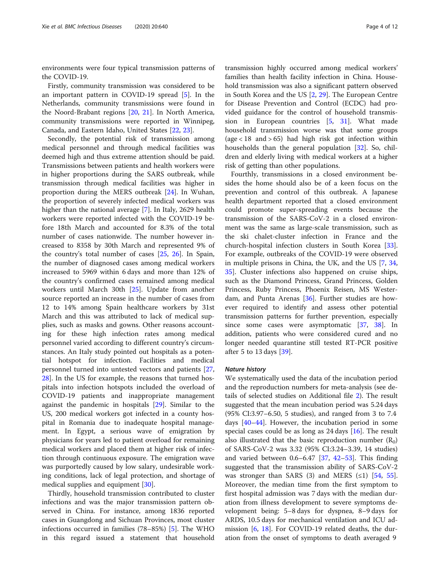environments were four typical transmission patterns of the COVID-19.

Firstly, community transmission was considered to be an important pattern in COVID-19 spread [[5\]](#page-8-0). In the Netherlands, community transmissions were found in the Noord-Brabant regions [[20,](#page-8-0) [21\]](#page-8-0). In North America, community transmissions were reported in Winnipeg, Canada, and Eastern Idaho, United States [[22,](#page-8-0) [23\]](#page-8-0).

Secondly, the potential risk of transmission among medical personnel and through medical facilities was deemed high and thus extreme attention should be paid. Transmissions between patients and health workers were in higher proportions during the SARS outbreak, while transmission through medical facilities was higher in proportion during the MERS outbreak [\[24\]](#page-8-0). In Wuhan, the proportion of severely infected medical workers was higher than the national average [\[7](#page-8-0)]. In Italy, 2629 health workers were reported infected with the COVID-19 before 18th March and accounted for 8.3% of the total number of cases nationwide. The number however increased to 8358 by 30th March and represented 9% of the country's total number of cases [\[25](#page-9-0), [26\]](#page-9-0). In Spain, the number of diagnosed cases among medical workers increased to 5969 within 6 days and more than 12% of the country's confirmed cases remained among medical workers until March 30th [\[25](#page-9-0)]. Update from another source reported an increase in the number of cases from 12 to 14% among Spain healthcare workers by 31st March and this was attributed to lack of medical supplies, such as masks and gowns. Other reasons accounting for these high infection rates among medical personnel varied according to different country's circumstances. An Italy study pointed out hospitals as a potential hotspot for infection. Facilities and medical personnel turned into untested vectors and patients [[27](#page-9-0), [28\]](#page-9-0). In the US for example, the reasons that turned hospitals into infection hotspots included the overload of COVID-19 patients and inappropriate management against the pandemic in hospitals [\[29\]](#page-9-0). Similar to the US, 200 medical workers got infected in a county hospital in Romania due to inadequate hospital management. In Egypt, a serious wave of emigration by physicians for years led to patient overload for remaining medical workers and placed them at higher risk of infection through continuous exposure. The emigration wave was purportedly caused by low salary, undesirable working conditions, lack of legal protection, and shortage of medical supplies and equipment [\[30\]](#page-9-0).

Thirdly, household transmission contributed to cluster infections and was the major transmission pattern observed in China. For instance, among 1836 reported cases in Guangdong and Sichuan Provinces, most cluster infections occurred in families (78–85%) [[5\]](#page-8-0). The WHO in this regard issued a statement that household

transmission highly occurred among medical workers' families than health facility infection in China. Household transmission was also a significant pattern observed in South Korea and the US [[2,](#page-8-0) [29](#page-9-0)]. The European Centre for Disease Prevention and Control (ECDC) had provided guidance for the control of household transmission in European countries  $[5, 31]$  $[5, 31]$  $[5, 31]$  $[5, 31]$ . What made household transmission worse was that some groups (age  $< 18$  and  $> 65$ ) had high risk got infection within households than the general population [\[32\]](#page-9-0). So, children and elderly living with medical workers at a higher risk of getting than other populations.

Fourthly, transmissions in a closed environment besides the home should also be of a keen focus on the prevention and control of this outbreak. A Japanese health department reported that a closed environment could promote super-spreading events because the transmission of the SARS-CoV-2 in a closed environment was the same as large-scale transmission, such as the ski chalet-cluster infection in France and the church-hospital infection clusters in South Korea [\[33](#page-9-0)]. For example, outbreaks of the COVID-19 were observed in multiple prisons in China, the UK, and the US [\[7](#page-8-0), [34](#page-9-0), [35\]](#page-9-0). Cluster infections also happened on cruise ships, such as the Diamond Princess, Grand Princess, Golden Princess, Ruby Princess, Phoenix Reisen, MS Westerdam, and Punta Arenas [\[36](#page-9-0)]. Further studies are however required to identify and assess other potential transmission patterns for further prevention, especially since some cases were asymptomatic [[37,](#page-9-0) [38\]](#page-9-0). In addition, patients who were considered cured and no longer needed quarantine still tested RT-PCR positive after 5 to 13 days [[39\]](#page-9-0).

#### Nature history

We systematically used the data of the incubation period and the reproduction numbers for meta-analysis (see details of selected studies on Additional file [2\)](#page-8-0). The result suggested that the mean incubation period was 5.24 days (95% CI:3.97–6.50, 5 studies), and ranged from 3 to 7.4 days [\[40](#page-9-0)–[44\]](#page-9-0). However, the incubation period in some special cases could be as long as  $24 \text{ days}$  [[16\]](#page-8-0). The result also illustrated that the basic reproduction number  $(R_0)$ of SARS-CoV-2 was 3.32 (95% CI:3.24–3.39, 14 studies) and varied between 0.6–6.47 [[37,](#page-9-0) [42](#page-9-0)–[53](#page-9-0)]. This finding suggested that the transmission ability of SARS-CoV-2 was stronger than SARS  $(3)$  and MERS  $(≤1)$  [\[54](#page-9-0), [55](#page-9-0)]. Moreover, the median time from the first symptom to first hospital admission was 7 days with the median duration from illness development to severe symptoms development being: 5–8 days for dyspnea, 8–9 days for ARDS, 10.5 days for mechanical ventilation and ICU admission [\[6](#page-8-0), [18](#page-8-0)]. For COVID-19 related deaths, the duration from the onset of symptoms to death averaged 9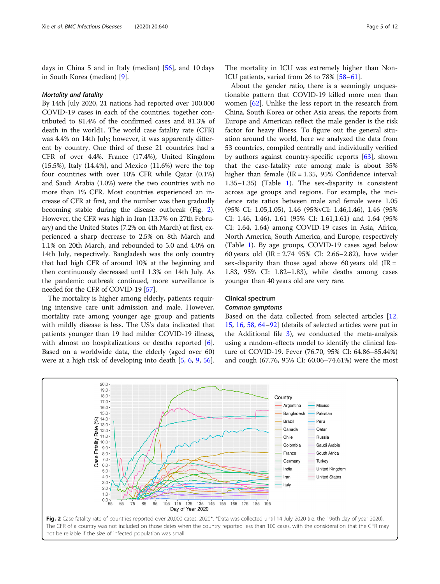days in China 5 and in Italy (median) [\[56\]](#page-9-0), and 10 days in South Korea (median) [\[9](#page-8-0)].

#### Mortality and fatality

By 14th July 2020, 21 nations had reported over 100,000 COVID-19 cases in each of the countries, together contributed to 81.4% of the confirmed cases and 81.3% of death in the world1. The world case fatality rate (CFR) was 4.4% on 14th July; however, it was apparently different by country. One third of these 21 countries had a CFR of over 4.4%. France (17.4%), United Kingdom (15.5%), Italy (14.4%), and Mexico (11.6%) were the top four countries with over 10% CFR while Qatar (0.1%) and Saudi Arabia (1.0%) were the two countries with no more than 1% CFR. Most countries experienced an increase of CFR at first, and the number was then gradually becoming stable during the disease outbreak (Fig. 2). However, the CFR was high in Iran (13.7% on 27th February) and the United States (7.2% on 4th March) at first, experienced a sharp decrease to 2.5% on 8th March and 1.1% on 20th March, and rebounded to 5.0 and 4.0% on 14th July, respectively. Bangladesh was the only country that had high CFR of around 10% at the beginning and then continuously decreased until 1.3% on 14th July. As the pandemic outbreak continued, more surveillance is needed for the CFR of COVID-19 [[57](#page-9-0)].

The mortality is higher among elderly, patients requiring intensive care unit admission and male. However, mortality rate among younger age group and patients with mildly disease is less. The US's data indicated that patients younger than 19 had milder COVID-19 illness, with almost no hospitalizations or deaths reported [\[6](#page-8-0)]. Based on a worldwide data, the elderly (aged over 60) were at a high risk of developing into death [\[5](#page-8-0), [6,](#page-8-0) [9,](#page-8-0) [56](#page-9-0)].

The mortality in ICU was extremely higher than Non-ICU patients, varied from 26 to 78% [\[58](#page-9-0)–[61\]](#page-9-0).

About the gender ratio, there is a seemingly unquestionable pattern that COVID-19 killed more men than women [\[62](#page-9-0)]. Unlike the less report in the research from China, South Korea or other Asia areas, the reports from Europe and American reflect the male gender is the risk factor for heavy illness. To figure out the general situation around the world, here we analyzed the data from 53 countries, compiled centrally and individually verified by authors against country-specific reports [[63](#page-9-0)], shown that the case-fatality rate among male is about 35% higher than female ( $IR = 1.35$ , 95% Confidence interval: 1.35–1.35) (Table [1\)](#page-5-0). The sex-disparity is consistent across age groups and regions. For example, the incidence rate ratios between male and female were 1.05 (95% CI: 1.05,1.05), 1.46 (95%vCI: 1.46,1.46), 1.46 (95% CI: 1.46, 1.46), 1.61 (95% CI: 1.61,1.61) and 1.64 (95% CI: 1.64, 1.64) among COVID-19 cases in Asia, Africa, North America, South America, and Europe, respectively (Table [1](#page-5-0)). By age groups, COVID-19 cases aged below 60 years old (IR = 2.74 95% CI: 2.66–2.82), have wider sex-disparity than those aged above 60 years old  $[IR =$ 1.83, 95% CI: 1.82–1.83), while deaths among cases younger than 40 years old are very rare.

#### Clinical spectrum

#### Common symptoms

Based on the data collected from selected articles [[12](#page-8-0), [15,](#page-8-0) [16](#page-8-0), [58](#page-9-0), [64](#page-9-0)–[92](#page-10-0)] (details of selected articles were put in the Additional file [3](#page-8-0)), we conducted the meta-analysis using a random-effects model to identify the clinical feature of COVID-19. Fever (76.70, 95% CI: 64.86–85.44%) and cough (67.76, 95% CI: 60.06–74.61%) were the most

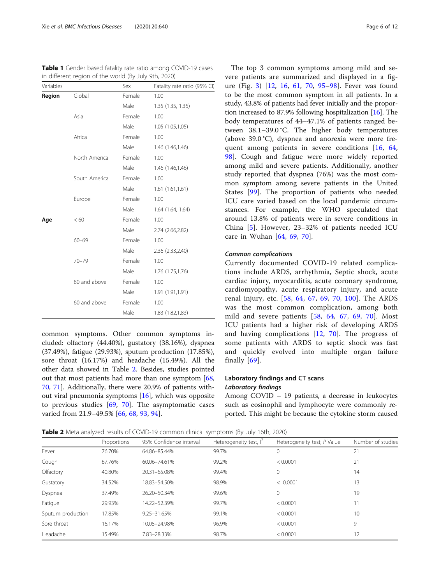<span id="page-5-0"></span>Table 1 Gender based fatality rate ratio among COVID-19 cases in different region of the world (By July 9th, 2020)

| Variables |               | Sex    | Fatality rate ratio (95% CI) |
|-----------|---------------|--------|------------------------------|
| Region    | Global        | Female | 1.00                         |
|           |               | Male   | 1.35 (1.35, 1.35)            |
|           | Asia          | Female | 1.00                         |
|           |               | Male   | 1.05 (1.05,1.05)             |
|           | Africa        | Female | 1.00                         |
|           |               | Male   | 1.46 (1.46,1.46)             |
|           | North America | Female | 1.00                         |
|           |               | Male   | 1.46 (1.46,1.46)             |
|           | South America | Female | 1.00                         |
|           |               | Male   | 1.61(1.61, 1.61)             |
|           | Europe        | Female | 1.00                         |
|           |               | Male   | 1.64 (1.64, 1.64)            |
| Age       | < 60          | Female | 1.00                         |
|           |               | Male   | 2.74 (2.66,2.82)             |
|           | $60 - 69$     | Female | 1.00                         |
|           |               | Male   | 2.36 (2.33,2.40)             |
|           | $70 - 79$     | Female | 1.00                         |
|           |               | Male   | 1.76 (1.75,1.76)             |
|           | 80 and above  | Female | 1.00                         |
|           |               | Male   | 1.91 (1.91,1.91)             |
|           | 60 and above  | Female | 1.00                         |
|           |               | Male   | 1.83 (1.82,1.83)             |

common symptoms. Other common symptoms included: olfactory (44.40%), gustatory (38.16%), dyspnea (37.49%), fatigue (29.93%), sputum production (17.85%), sore throat (16.17%) and headache (15.49%). All the other data showed in Table 2. Besides, studies pointed out that most patients had more than one symptom [[68](#page-10-0), [70,](#page-10-0) [71](#page-10-0)]. Additionally, there were 20.9% of patients without viral pneumonia symptoms [[16\]](#page-8-0), which was opposite to previous studies [\[69](#page-10-0), [70\]](#page-10-0). The asymptomatic cases varied from 21.9–49.5% [[66,](#page-9-0) [68,](#page-10-0) [93](#page-10-0), [94](#page-10-0)].

The top 3 common symptoms among mild and severe patients are summarized and displayed in a figure (Fig. [3](#page-6-0)) [\[12](#page-8-0), [16](#page-8-0), [61](#page-9-0), [70](#page-10-0), [95](#page-10-0)–[98\]](#page-10-0). Fever was found to be the most common symptom in all patients. In a study, 43.8% of patients had fever initially and the proportion increased to 87.9% following hospitalization [[16](#page-8-0)]. The body temperatures of 44–47.1% of patients ranged between 38.1–39.0 °C. The higher body temperatures (above 39.0 °C), dyspnea and anorexia were more frequent among patients in severe conditions [[16,](#page-8-0) [64](#page-9-0), [98\]](#page-10-0). Cough and fatigue were more widely reported among mild and severe patients. Additionally, another study reported that dyspnea (76%) was the most common symptom among severe patients in the United States [\[99](#page-10-0)]. The proportion of patients who needed ICU care varied based on the local pandemic circumstances. For example, the WHO speculated that around 13.8% of patients were in severe conditions in China [[5\]](#page-8-0). However, 23–32% of patients needed ICU care in Wuhan [[64,](#page-9-0) [69](#page-10-0), [70](#page-10-0)].

#### Common complications

Currently documented COVID-19 related complications include ARDS, arrhythmia, Septic shock, acute cardiac injury, myocarditis, acute coronary syndrome, cardiomyopathy, acute respiratory injury, and acute renal injury, etc. [[58](#page-9-0), [64,](#page-9-0) [67](#page-10-0), [69,](#page-10-0) [70](#page-10-0), [100](#page-10-0)]. The ARDS was the most common complication, among both mild and severe patients [\[58](#page-9-0), [64](#page-9-0), [67](#page-10-0), [69,](#page-10-0) [70\]](#page-10-0). Most ICU patients had a higher risk of developing ARDS and having complications [\[12,](#page-8-0) [70\]](#page-10-0). The progress of some patients with ARDS to septic shock was fast and quickly evolved into multiple organ failure finally  $[69]$  $[69]$  $[69]$ .

# Laboratory findings and CT scans Laboratory findings

Among COVID – 19 patients, a decrease in leukocytes such as eosinophil and lymphocyte were commonly reported. This might be because the cytokine storm caused

**Table 2** Meta analyzed results of COVID-19 common clinical symptoms (By July 16th, 2020)

|                   | Proportions | 95% Confidence interval | Heterogeneity test, $I^2$ | Heterogeneity test, P Value | Number of studies |  |  |
|-------------------|-------------|-------------------------|---------------------------|-----------------------------|-------------------|--|--|
| Fever             | 76.70%      | 64.86-85.44%            | 99.7%                     | $\Omega$                    | 21                |  |  |
| Cough             | 67.76%      | 60.06-74.61%            | 99.2%                     | < 0.0001                    | 21                |  |  |
| Olfactory         | 40.80%      | 20.31-65.08%            | 99.4%                     | 0                           | 14                |  |  |
| Gustatory         | 34.52%      | 18.83-54.50%            | 98.9%                     | < 0.0001                    | 13                |  |  |
| Dyspnea           | 37.49%      | 26.20-50.34%            | 99.6%                     | $\Omega$                    | 19                |  |  |
| Fatigue           | 29.93%      | 14.22-52.39%            | 99.7%                     | < 0.0001                    | 11                |  |  |
| Sputum production | 17.85%      | 9.25-31.65%             | 99.1%                     | < 0.0001                    | 10                |  |  |
| Sore throat       | 16.17%      | 10.05-24.98%            | 96.9%                     | < 0.0001                    | 9                 |  |  |
| Headache          | 15.49%      | 7.83-28.33%             | 98.7%                     | < 0.0001                    | 12                |  |  |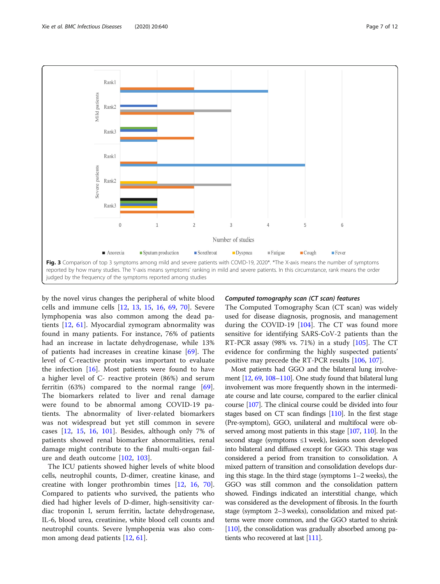<span id="page-6-0"></span>

by the novel virus changes the peripheral of white blood cells and immune cells [\[12,](#page-8-0) [13,](#page-8-0) [15](#page-8-0), [16](#page-8-0), [69,](#page-10-0) [70](#page-10-0)]. Severe lymphopenia was also common among the dead patients [[12](#page-8-0), [61](#page-9-0)]. Myocardial zymogram abnormality was found in many patients. For instance, 76% of patients had an increase in lactate dehydrogenase, while 13% of patients had increases in creatine kinase [[69\]](#page-10-0). The level of C-reactive protein was important to evaluate the infection  $[16]$  $[16]$ . Most patients were found to have a higher level of C- reactive protein (86%) and serum ferritin  $(63%)$  compared to the normal range  $[69]$  $[69]$ . The biomarkers related to liver and renal damage were found to be abnormal among COVID-19 patients. The abnormality of liver-related biomarkers was not widespread but yet still common in severe cases [\[12](#page-8-0), [15](#page-8-0), [16,](#page-8-0) [101\]](#page-10-0). Besides, although only 7% of patients showed renal biomarker abnormalities, renal damage might contribute to the final multi-organ failure and death outcome [[102,](#page-10-0) [103](#page-10-0)].

The ICU patients showed higher levels of white blood cells, neutrophil counts, D-dimer, creatine kinase, and creatine with longer prothrombin times [[12,](#page-8-0) [16](#page-8-0), [70](#page-10-0)]. Compared to patients who survived, the patients who died had higher levels of D-dimer, high-sensitivity cardiac troponin I, serum ferritin, lactate dehydrogenase, IL-6, blood urea, creatinine, white blood cell counts and neutrophil counts. Severe lymphopenia was also common among dead patients [[12](#page-8-0), [61](#page-9-0)].

#### Computed tomography scan (CT scan) features

The Computed Tomography Scan (CT scan) was widely used for disease diagnosis, prognosis, and management during the COVID-19  $[104]$ . The CT was found more sensitive for identifying SARS-CoV-2 patients than the RT-PCR assay (98% vs. 71%) in a study  $[105]$  $[105]$  $[105]$ . The CT evidence for confirming the highly suspected patients' positive may precede the RT-PCR results [\[106](#page-11-0), [107\]](#page-11-0).

Most patients had GGO and the bilateral lung involvement [[12](#page-8-0), [69](#page-10-0), [108](#page-11-0)–[110\]](#page-11-0). One study found that bilateral lung involvement was more frequently shown in the intermediate course and late course, compared to the earlier clinical course [\[107](#page-11-0)]. The clinical course could be divided into four stages based on CT scan findings [\[110](#page-11-0)]. In the first stage (Pre-symptom), GGO, unilateral and multifocal were ob-served among most patients in this stage [\[107](#page-11-0), [110](#page-11-0)]. In the second stage (symptoms ≤1 week), lesions soon developed into bilateral and diffused except for GGO. This stage was considered a period from transition to consolidation. A mixed pattern of transition and consolidation develops during this stage. In the third stage (symptoms 1–2 weeks), the GGO was still common and the consolidation pattern showed. Findings indicated an interstitial change, which was considered as the development of fibrosis. In the fourth stage (symptom 2–3 weeks), consolidation and mixed patterns were more common, and the GGO started to shrink [[110\]](#page-11-0), the consolidation was gradually absorbed among patients who recovered at last [\[111\]](#page-11-0).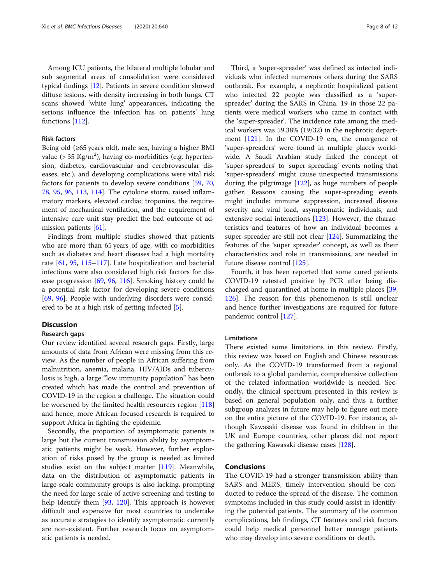Among ICU patients, the bilateral multiple lobular and sub segmental areas of consolidation were considered typical findings [\[12\]](#page-8-0). Patients in severe condition showed diffuse lesions, with density increasing in both lungs. CT scans showed 'white lung' appearances, indicating the serious influence the infection has on patients' lung functions [[112\]](#page-11-0).

#### Risk factors

Being old (≥65 years old), male sex, having a higher BMI value ( $> 35$  Kg/m<sup>2</sup>), having co-morbidities (e.g. hypertension, diabetes, cardiovascular and cerebrovascular diseases, etc.), and developing complications were vital risk factors for patients to develop severe conditions [\[59,](#page-9-0) [70](#page-10-0), [78,](#page-10-0) [95,](#page-10-0) [96](#page-10-0), [113,](#page-11-0) [114\]](#page-11-0). The cytokine storm, raised inflammatory markers, elevated cardiac troponins, the requirement of mechanical ventilation, and the requirement of intensive care unit stay predict the bad outcome of admission patients [\[61](#page-9-0)].

Findings from multiple studies showed that patients who are more than 65 years of age, with co-morbidities such as diabetes and heart diseases had a high mortality rate [[61,](#page-9-0) [95](#page-10-0), [115](#page-11-0)–[117\]](#page-11-0). Late hospitalization and bacterial infections were also considered high risk factors for disease progression [[69,](#page-10-0) [96,](#page-10-0) [116](#page-11-0)]. Smoking history could be a potential risk factor for developing severe conditions [[69,](#page-10-0) [96\]](#page-10-0). People with underlying disorders were considered to be at a high risk of getting infected [\[5\]](#page-8-0).

#### **Discussion**

#### Research gaps

Our review identified several research gaps. Firstly, large amounts of data from African were missing from this review. As the number of people in African suffering from malnutrition, anemia, malaria, HIV/AIDs and tuberculosis is high, a large "low immunity population" has been created which has made the control and prevention of COVID-19 in the region a challenge. The situation could be worsened by the limited health resources region [[118](#page-11-0)] and hence, more African focused research is required to support Africa in fighting the epidemic.

Secondly, the proportion of asymptomatic patients is large but the current transmission ability by asymptomatic patients might be weak. However, further exploration of risks posed by the group is needed as limited studies exist on the subject matter [[119\]](#page-11-0). Meanwhile, data on the distribution of asymptomatic patients in large-scale community groups is also lacking, prompting the need for large scale of active screening and testing to help identify them [\[93](#page-10-0), [120](#page-11-0)]. This approach is however difficult and expensive for most countries to undertake as accurate strategies to identify asymptomatic currently are non-existent. Further research focus on asymptomatic patients is needed.

Third, a 'super-spreader' was defined as infected individuals who infected numerous others during the SARS outbreak. For example, a nephrotic hospitalized patient who infected 22 people was classified as a 'superspreader' during the SARS in China. 19 in those 22 patients were medical workers who came in contact with the 'super-spreader'. The incidence rate among the medical workers was 59.38% (19/32) in the nephrotic department [\[121](#page-11-0)]. In the COVID-19 era, the emergence of 'super-spreaders' were found in multiple places worldwide. A Saudi Arabian study linked the concept of 'super-spreaders' to 'super spreading' events noting that 'super-spreaders' might cause unexpected transmissions during the pilgrimage [[122](#page-11-0)], as huge numbers of people gather. Reasons causing the super-spreading events might include: immune suppression, increased disease severity and viral load, asymptomatic individuals, and extensive social interactions [[123](#page-11-0)]. However, the characteristics and features of how an individual becomes a super-spreader are still not clear [[124\]](#page-11-0). Summarizing the features of the 'super spreader' concept, as well as their characteristics and role in transmissions, are needed in future disease control [\[125](#page-11-0)].

Fourth, it has been reported that some cured patients COVID-19 retested positive by PCR after being discharged and quarantined at home in multiple places [[39](#page-9-0), [126](#page-11-0)]. The reason for this phenomenon is still unclear and hence further investigations are required for future pandemic control [\[127\]](#page-11-0).

#### Limitations

There existed some limitations in this review. Firstly, this review was based on English and Chinese resources only. As the COVID-19 transformed from a regional outbreak to a global pandemic, comprehensive collection of the related information worldwide is needed. Secondly, the clinical spectrum presented in this review is based on general population only, and thus a further subgroup analyzes in future may help to figure out more on the entire picture of the COVID-19. For instance, although Kawasaki disease was found in children in the UK and Europe countries, other places did not report the gathering Kawasaki disease cases [[128\]](#page-11-0).

# **Conclusions**

The COVID-19 had a stronger transmission ability than SARS and MERS, timely intervention should be conducted to reduce the spread of the disease. The common symptoms included in this study could assist in identifying the potential patients. The summary of the common complications, lab findings, CT features and risk factors could help medical personnel better manage patients who may develop into severe conditions or death.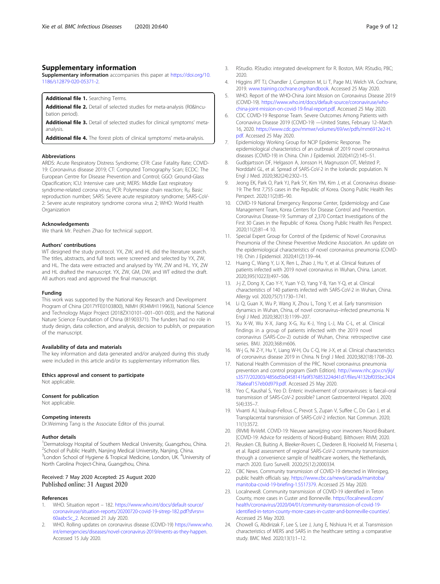# <span id="page-8-0"></span>Supplementary information

Supplementary information accompanies this paper at [https://doi.org/10.](https://doi.org/10.1186/s12879-020-05371-2) [1186/s12879-020-05371-2](https://doi.org/10.1186/s12879-020-05371-2).

Additional file 1. Searching Terms.

Additional file 2. Detail of selected studies for meta-analysis (R0&Incubation period).

Additional file 3. Detail of selected studies for clinical symptoms' metaanalysis.

Additional file 4. The forest plots of clinical symptoms' meta-analysis.

#### Abbreviations

ARDS: Acute Respiratory Distress Syndrome; CFR: Case Fatality Rate; COVID-19: Coronavirus disease 2019; CT: Computed Tomography Scan; ECDC: The European Centre for Disease Prevention and Control; GGO: Ground-Glass Opacification; ICU: Intensive care unit; MERS: Middle East respiratory syndrome-related corona virus; PCR: Polymerase chain reaction; R<sub>0</sub>: Basic reproduction number; SARS: Severe acute respiratory syndrome; SARS-CoV-2: Severe acute respiratory syndrome corona virus 2; WHO: World Health Organization

#### Acknowledgements

We thank Mr. Peizhen Zhao for technical support.

#### Authors' contributions

WT designed the study protocol. YX, ZW, and HL did the literature search. The titles, abstracts, and full texts were screened and selected by YX, ZW, and HL. The data were extracted and analysed by YW, ZW and HL. YX, ZW and HL drafted the manuscript. YX, ZW, GM, DW, and WT edited the draft. All authors read and approved the final manuscript.

#### Funding

This work was supported by the National Key Research and Development Program of China (2017YFE0103800), NIMH (R34MH119963), National Science and Technology Major Project (2018ZX10101–001–001-003), and the National Nature Science Foundation of China (81903371). The funders had no role in study design, data collection, and analysis, decision to publish, or preparation of the manuscript.

### Availability of data and materials

The key information and data generated and/or analyzed during this study were included in this article and/or its supplementary information files.

#### Ethics approval and consent to participate

Not applicable.

#### Consent for publication

Not applicable.

#### Competing interests

Dr.Weiming Tang is the Associate Editor of this journal.

#### Author details

<sup>1</sup>Dermatology Hospital of Southern Medical University, Guangzhou, China. <sup>2</sup>School of Public Health, Nanjing Medical University, Nanjing, China. <sup>3</sup> London School of Hygiene & Tropical Medicine, London, UK. <sup>4</sup> University of North Carolina Project-China, Guangzhou, China.

#### Received: 7 May 2020 Accepted: 25 August 2020 Published online: 31 August 2020

#### References

- WHO. Situation report 182. [https://www.who.int/docs/default-source/](https://www.who.int/docs/default-source/coronaviruse/situation-reports/20200720-covid-19-sitrep-182.pdf?sfvrsn=60aabc5c_2) [coronaviruse/situation-reports/20200720-covid-19-sitrep-182.pdf?sfvrsn=](https://www.who.int/docs/default-source/coronaviruse/situation-reports/20200720-covid-19-sitrep-182.pdf?sfvrsn=60aabc5c_2) [60aabc5c\\_2](https://www.who.int/docs/default-source/coronaviruse/situation-reports/20200720-covid-19-sitrep-182.pdf?sfvrsn=60aabc5c_2). Accessed 21 July 2020.
- WHO. Rolling updates on coronavirus disease (COVID-19) [https://www.who.](https://www.who.int/emergencies/diseases/novel-coronavirus-2019/events-as-they-happen) [int/emergencies/diseases/novel-coronavirus-2019/events-as-they-happen.](https://www.who.int/emergencies/diseases/novel-coronavirus-2019/events-as-they-happen) Accessed 15 July 2020.
- 3. RStudio. RStudio: integrated development for R. Boston, MA: RStudio, PBC; 2020.
- 4. Higgins JPT TJ, Chandler J, Cumpston M, Li T, Page MJ, Welch VA. Cochrane, 2019. [www.training.cochrane.org/handbook.](http://www.training.cochrane.org/handbook) Accessed 25 May 2020.
- 5. WHO. Report of the WHO-China Joint Mission on Coronavirus Disease 2019 (COVID-19). [https://www.who.int/docs/default-source/coronaviruse/who](https://www.who.int/docs/default-source/coronaviruse/who-china-joint-mission-on-covid-19-final-report.pdf)[china-joint-mission-on-covid-19-final-report.pdf.](https://www.who.int/docs/default-source/coronaviruse/who-china-joint-mission-on-covid-19-final-report.pdf) Accessed 25 May 2020.
- 6. CDC COVID-19 Response Team. Severe Outcomes Among Patients with Coronavirus Disease 2019 (COVID-19) —United States, February 12–March 16, 2020. [https://www.cdc.gov/mmwr/volumes/69/wr/pdfs/mm6912e2-H.](https://www.cdc.gov/mmwr/volumes/69/wr/pdfs/mm6912e2-H.pdf) [pdf](https://www.cdc.gov/mmwr/volumes/69/wr/pdfs/mm6912e2-H.pdf). Accessed 25 May 2020.
- 7. Epidemiology Working Group for NCIP Epidemic Response. The epidemiological characteristics of an outbreak of 2019 novel coronavirus diseases (COVID-19) in China. Chin J Epidemiol. 2020;41(2):145–51.
- 8. Gudbjartsson DF, Helgason A, Jonsson H, Magnusson OT, Melsted P, Norddahl GL, et al. Spread of SARS-CoV-2 in the Icelandic population. N Engl J Med. 2020;382(24):2302–15.
- Jeong EK, Park O, Park YJ, Park SY, Kim YM, Kim J, et al. Coronavirus disease-19: The first 7,755 cases in the Republic of Korea. Osong Public Health Res Perspect. 2020;11(2):85–90.
- 10. COVID-19 National Emergency Response Center, Epidemiology and Case Management Team, Korea Centers for Disease Control and Prevention. Coronavirus Disease-19: Summary of 2,370 Contact Investigations of the First 30 Cases in the Republic of Korea. Osong Public Health Res Perspect. 2020;11(2):81–4 10.
- 11. Special Expert Group for Control of the Epidemic of Novel Coronavirus Pneumonia of the Chinese Preventive Medicine Association. An update on the epidemiological characteristics of novel coronavirus pneumonia (COVID-19). Chin J Epidemiol. 2020;41(2):139–44.
- 12. Huang C, Wang Y, Li X, Ren L, Zhao J, Hu Y, et al. Clinical features of patients infected with 2019 novel coronavirus in Wuhan, China. Lancet. 2020;395(10223):497–506.
- 13. J-j Z, Dong X, Cao Y-Y, Yuan Y-D, Yang Y-B, Yan Y-Q, et al. Clinical characteristics of 140 patients infected with SARS-CoV-2 in Wuhan, China. Allergy vol. 2020;75(7):1730–1741.
- 14. Li Q, Guan X, Wu P, Wang X, Zhou L, Tong Y, et al. Early transmission dynamics in Wuhan, China, of novel coronavirus–infected pneumonia. N Engl J Med. 2020;382(13):1199–207.
- 15. Xu X-W, Wu X-X, Jiang X-G, Xu K-J, Ying L-J, Ma C-L, et al. Clinical findings in a group of patients infected with the 2019 novel coronavirus (SARS-Cov-2) outside of Wuhan, China: retrospective case series. BMJ. 2020;368:m606.
- 16. W-j G, Ni Z-Y, Hu Y, Liang W-H, Ou C-Q, He J-X, et al. Clinical characteristics of coronavirus disease 2019 in China. N Engl J Med. 2020;382(18):1708–20.
- 17. National Health Commission of the PRC. Novel coronavirus pneumonia prevention and control program (Sixth Edition). [http://www.nhc.gov.cn/jkj/](http://www.nhc.gov.cn/jkj/s3577/202003/4856d5b0458141fa9f376853224d41d7/files/4132bf035bc242478a6eaf157eb0d979.pdf) [s3577/202003/4856d5b0458141fa9f376853224d41d7/files/4132bf035bc2424](http://www.nhc.gov.cn/jkj/s3577/202003/4856d5b0458141fa9f376853224d41d7/files/4132bf035bc242478a6eaf157eb0d979.pdf) [78a6eaf157eb0d979.pdf](http://www.nhc.gov.cn/jkj/s3577/202003/4856d5b0458141fa9f376853224d41d7/files/4132bf035bc242478a6eaf157eb0d979.pdf). Accessed 25 May 2020.
- 18. Yeo C, Kaushal S, Yeo D. Enteric involvement of coronaviruses: is faecal–oral transmission of SARS-CoV-2 possible? Lancet Gastroenterol Hepatol. 2020; 5(4):335–7.
- 19. Vivanti AJ, Vauloup-Fellous C, Prevot S, Zupan V, Suffee C, Do Cao J, et al. Transplacental transmission of SARS-CoV-2 infection. Nat Commun. 2020; 11(1):3572.
- 20. (RIVM) RvVeM. COVID-19: Nieuwe aanwijzing voor inwoners Noord-Brabant. [COVID-19: Advice for residents of Noord-Brabant]. Bilthoven: RIVM; 2020.
- 21. Reusken CB, Buiting A, Bleeker-Rovers C, Diederen B, Hooiveld M, Friesema I, et al. Rapid assessment of regional SARS-CoV-2 community transmission through a convenience sample of healthcare workers, the Netherlands, march 2020. Euro Surveill. 2020;25(12):2000334.
- 22. CBC News. Community transmission of COVID-19 detected in Winnipeg, public health officials say. [https://www.cbc.ca/news/canada/manitoba/](https://www.cbc.ca/news/canada/manitoba/manitoba-covid-19-briefing-1.5517379) [manitoba-covid-19-briefing-1.5517379.](https://www.cbc.ca/news/canada/manitoba/manitoba-covid-19-briefing-1.5517379) Accessed 25 May 2020.
- 23. Localnews8. Community transmission of COVID-19 identified in Teton County, more cases in Custer and Bonneville. [https://localnews8.com/](https://localnews8.com/health/coronavirus/2020/04/01/community-transmission-of-covid-19-identified-in-teton-county-more-cases-in-custer-and-bonneville-counties/) [health/coronavirus/2020/04/01/community-transmission-of-covid-19](https://localnews8.com/health/coronavirus/2020/04/01/community-transmission-of-covid-19-identified-in-teton-county-more-cases-in-custer-and-bonneville-counties/) [identified-in-teton-county-more-cases-in-custer-and-bonneville-counties/.](https://localnews8.com/health/coronavirus/2020/04/01/community-transmission-of-covid-19-identified-in-teton-county-more-cases-in-custer-and-bonneville-counties/) Accessed 25 May 2020.
- 24. Chowell G, Abdirizak F, Lee S, Lee J, Jung E, Nishiura H, et al. Transmission characteristics of MERS and SARS in the healthcare setting: a comparative study. BMC Med. 2020;13(1):1–12.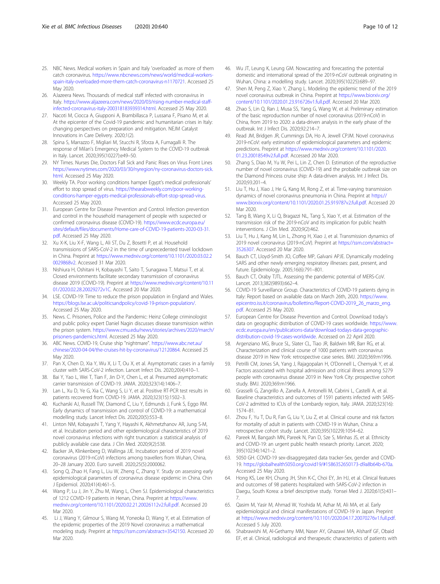- <span id="page-9-0"></span>25. NBC News. Medical workers in Spain and Italy 'overloaded' as more of them catch coronavirus. [https://www.nbcnews.com/news/world/medical-workers](https://www.nbcnews.com/news/world/medical-workers-spain-italy-overloaded-more-them-catch-coronavirus-n1170721)[spain-italy-overloaded-more-them-catch-coronavirus-n1170721.](https://www.nbcnews.com/news/world/medical-workers-spain-italy-overloaded-more-them-catch-coronavirus-n1170721) Accessed 25 May 2020
- 26. AJazeera News. Thousands of medical staff infected with coronavirus in Italy. [https://www.aljazeera.com/news/2020/03/rising-number-medical-staff](https://www.aljazeera.com/news/2020/03/rising-number-medical-staff-infected-coronavirus-italy-200318183939314.html)[infected-coronavirus-italy-200318183939314.html.](https://www.aljazeera.com/news/2020/03/rising-number-medical-staff-infected-coronavirus-italy-200318183939314.html) Accessed 25 May 2020.
- 27. Nacoti M, Ciocca A, Giupponi A, Brambillasca P, Lussana F, Pisano M, et al. At the epicenter of the Covid-19 pandemic and humanitarian crises in Italy: changing perspectives on preparation and mitigation. NEJM Catalyst Innovations in Care Delivery. 2020;1(2).
- 28. Spina S, Marrazzo F, Migliari M, Stucchi R, Sforza A, Fumagalli R. The response of Milan's Emergency Medical System to the COVID-19 outbreak in Italy. Lancet. 2020;395(10227):e49–50.
- 29. NY Times. Nurses Die, Doctors Fall Sick and Panic Rises on Virus Front Lines [https://www.nytimes.com/2020/03/30/nyregion/ny-coronavirus-doctors-sick.](https://www.nytimes.com/2020/03/30/nyregion/ny-coronavirus-doctors-sick.html) [html.](https://www.nytimes.com/2020/03/30/nyregion/ny-coronavirus-doctors-sick.html) Accessed 25 May 2020.
- 30. Weekly TA. Poor working conditions hamper Egypt's medical professionals' effort to stop spread of virus. [https://thearabweekly.com/poor-working](https://thearabweekly.com/poor-working-conditions-hamper-egypts-medical-professionals-effort-stop-spread-virus)[conditions-hamper-egypts-medical-professionals-effort-stop-spread-virus.](https://thearabweekly.com/poor-working-conditions-hamper-egypts-medical-professionals-effort-stop-spread-virus) Accessed 25 May 2020.
- 31. European Centre for Disease Prevention and Control. Infection prevention and control in the household management of people with suspected or confirmed coronavirus disease (COVID-19). [https://www.ecdc.europa.eu/](https://www.ecdc.europa.eu/sites/default/files/documents/Home-care-of-COVID-19-patients-2020-03-31.pdf) [sites/default/files/documents/Home-care-of-COVID-19-patients-2020-03-31.](https://www.ecdc.europa.eu/sites/default/files/documents/Home-care-of-COVID-19-patients-2020-03-31.pdf) [pdf](https://www.ecdc.europa.eu/sites/default/files/documents/Home-care-of-COVID-19-patients-2020-03-31.pdf). Accessed 25 May 2020.
- 32. Xu X-K, Liu X-F, Wang L, Ali ST, Du Z, Bosetti P, et al. Household transmissions of SARS-CoV-2 in the time of unprecedented travel lockdown in China. Preprint at [https://www.medrxiv.org/content/10.1101/2020.03.02.2](https://www.medrxiv.org/content/10.1101/2020.03.02.20029868v2) [0029868v2](https://www.medrxiv.org/content/10.1101/2020.03.02.20029868v2). Accessed 31 Mar 2020.
- 33. Nishiura H, Oshitani H, Kobayashi T, Saito T, Sunagawa T, Matsui T, et al. Closed environments facilitate secondary transmission of coronavirus disease 2019 (COVID-19). Preprint at [https://www.medrxiv.org/content/10.11](https://www.medrxiv.org/content/10.1101/2020.02.28.20029272v1) [01/2020.02.28.20029272v1C.](https://www.medrxiv.org/content/10.1101/2020.02.28.20029272v1) Accessed 20 Mar 2020.
- 34. LSE. COVID-19: Time to reduce the prison population in England and Wales. <https://blogs.lse.ac.uk/politicsandpolicy/covid-19-prison-population/>. Accessed 25 May 2020.
- 35. News. C. Prisoners, Police and the Pandemic: Heinz College criminologist and public policy expert Daniel Nagin discusses disease transmission within the prison system. [https://www.cmu.edu/news/stories/archives/2020/march/](https://www.cmu.edu/news/stories/archives/2020/march/prisoners-pandemics.html) [prisoners-pandemics.html.](https://www.cmu.edu/news/stories/archives/2020/march/prisoners-pandemics.html) Accessed 25 May 2020.
- 36. ABC News. COVID-19, Cruise ship "nightmare". [https://www.abc.net.au/](https://www.abc.net.au/chinese/2020-04-04/the-cruises-hit-by-coronavirus/12120864) [chinese/2020-04-04/the-cruises-hit-by-coronavirus/12120864](https://www.abc.net.au/chinese/2020-04-04/the-cruises-hit-by-coronavirus/12120864). Accessed 25 May 2020.
- 37. Pan X, Chen D, Xia Y, Wu X, Li T, Ou X, et al. Asymptomatic cases in a family cluster with SARS-CoV-2 infection. Lancet Infect Dis. 2020;20(4):410–1.
- Bai Y, Yao L, Wei T, Tian F, Jin D-Y, Chen L, et al. Presumed asymptomatic carrier transmission of COVID-19. JAMA. 2020;323(14):1406–7.
- 39. Lan L, Xu D, Ye G, Xia C, Wang S, Li Y, et al. Positive RT-PCR test results in patients recovered from COVID-19. JAMA. 2020;323(15):1502–3.
- 40. Kucharski AJ, Russell TW, Diamond C, Liu Y, Edmunds J, Funk S, Eggo RM. Early dynamics of transmission and control of COVID-19: a mathematical modelling study. Lancet Infect Dis. 2020;20(5):553–8.
- 41. Linton NM, Kobayashi T, Yang Y, Hayashi K, Akhmetzhanov AR, Jung S-M, et al. Incubation period and other epidemiological characteristics of 2019 novel coronavirus infections with right truncation: a statistical analysis of publicly available case data. J Clin Med. 2020;9(2):538.
- 42. Backer JA, Klinkenberg D, Wallinga JJE. Incubation period of 2019 novel coronavirus (2019-nCoV) infections among travellers from Wuhan, China, 20–28 January 2020. Euro surveill. 2020;25(5):2000062.
- 43. Song Q, Zhao H, Fang L, Liu W, Zheng C, Zhang Y. Study on assessing early epidemiological parameters of coronavirus disease epidemic in China. Chin J Epidemiol. 2020;41(4):461–5.
- 44. Wang P, Lu J, Jin Y, Zhu M, Wang L, Chen SJ. Epidemiological characteristics of 1212 COVID-19 patients in Henan, China. Preprint at [https://www.](https://www.medrxiv.org/content/10.1101/2020.02.21.20026112v2.full.pdf) [medrxiv.org/content/10.1101/2020.02.21.20026112v2.full.pdf.](https://www.medrxiv.org/content/10.1101/2020.02.21.20026112v2.full.pdf) Accessed 20 Mar 2020.
- 45. Li J, Wang Y, Gilmour S, Wang M, Yoneoka D, Wang Y, et al. Estimation of the epidemic properties of the 2019 Novel coronavirus: a mathematical modeling study. Preprint at [https://ssrn.com/abstract=3542150.](https://ssrn.com/abstract=3542150) Accessed 20 Mar 2020.
- 46. Wu JT, Leung K, Leung GM. Nowcasting and forecasting the potential domestic and international spread of the 2019-nCoV outbreak originating in Wuhan, China: a modelling study. Lancet. 2020;395(10225):689–97.
- 47. Shen M, Peng Z, Xiao Y, Zhang L. Modeling the epidemic trend of the 2019 novel coronavirus outbreak in China. Preprint at [https://www.biorxiv.org/](https://www.biorxiv.org/content/10.1101/2020.01.23.916726v1.full.pdf) [content/10.1101/2020.01.23.916726v1.full.pdf.](https://www.biorxiv.org/content/10.1101/2020.01.23.916726v1.full.pdf) Accessed 20 Mar 2020.
- Zhao S, Lin Q, Ran J, Musa SS, Yang G, Wang W, et al. Preliminary estimation of the basic reproduction number of novel coronavirus (2019-nCoV) in China, from 2019 to 2020: a data-driven analysis in the early phase of the outbreak. Int J Infect Dis. 2020;92:214–7.
- 49. Read JM, Bridgen JR, Cummings DA, Ho A, Jewell CPJM. Novel coronavirus 2019-nCoV: early estimation of epidemiological parameters and epidemic predictions. Preprint at [https://www.medrxiv.org/content/10.1101/2020.](https://www.medrxiv.org/content/10.1101/2020.01.23.20018549v2.full.pdf) [01.23.20018549v2.full.pdf](https://www.medrxiv.org/content/10.1101/2020.01.23.20018549v2.full.pdf). Accessed 20 Mar 2020.
- 50. Zhang S, Diao M, Yu W, Pei L, Lin Z, Chen D. Estimation of the reproductive number of novel coronavirus (COVID-19) and the probable outbreak size on the Diamond Princess cruise ship: A data-driven analysis. Int J Infect Dis. 2020;93:201–4.
- 51. Liu T, Hu J, Xiao J, He G, Kang M, Rong Z, et al. Time-varying transmission dynamics of novel coronavirus pneumonia in China. Preprint at [https://](https://www.biorxiv.org/content/10.1101/2020.01.25.919787v2.full.pdf) [www.biorxiv.org/content/10.1101/2020.01.25.919787v2.full.pdf.](https://www.biorxiv.org/content/10.1101/2020.01.25.919787v2.full.pdf) Accessed 20 Mar 2020.
- 52. Tang B, Wang X, Li Q, Bragazzi NL, Tang S, Xiao Y, et al. Estimation of the transmission risk of the 2019-nCoV and its implication for public health interventions. J Clin Med. 2020;9(2):462.
- 53. Liu T, Hu J, Kang M, Lin L, Zhong H, Xiao J, et al. Transmission dynamics of 2019 novel coronavirus (2019-nCoV). Preprint at [https://ssrn.com/abstract=](https://ssrn.com/abstract=3526307) [3526307.](https://ssrn.com/abstract=3526307) Accessed 20 Mar 2020.
- Bauch CT, Lloyd-Smith JO, Coffee MP, Galvani APJE. Dynamically modeling SARS and other newly emerging respiratory illnesses: past, present, and future. Epidemiology. 2005;16(6):791–801.
- 55. Bauch CT, Oraby TJTL. Assessing the pandemic potential of MERS-CoV. Lancet. 2013;382(9893):662–4.
- 56. COVID-19 Surveillance Group. Characteristics of COVID-19 patients dying in Italy: Report based on available data on March 26th, 2020. [https://www.](https://www.epicentro.iss.it/coronavirus/bollettino/Report-COVID-2019_26_marzo_eng.pdf) [epicentro.iss.it/coronavirus/bollettino/Report-COVID-2019\\_26\\_marzo\\_eng.](https://www.epicentro.iss.it/coronavirus/bollettino/Report-COVID-2019_26_marzo_eng.pdf) [pdf](https://www.epicentro.iss.it/coronavirus/bollettino/Report-COVID-2019_26_marzo_eng.pdf). Accessed 25 May 2020.
- 57. European Centre for Disease Prevention and Control. Download today's data on geographic distribution of COVID-19 cases worldwide. [https://www.](https://www.ecdc.europa.eu/en/publications-data/download-todays-data-geographic-distribution-covid-19-cases-worldwide) [ecdc.europa.eu/en/publications-data/download-todays-data-geographic](https://www.ecdc.europa.eu/en/publications-data/download-todays-data-geographic-distribution-covid-19-cases-worldwide)[distribution-covid-19-cases-worldwide.](https://www.ecdc.europa.eu/en/publications-data/download-todays-data-geographic-distribution-covid-19-cases-worldwide) Accessed on 22 April 2020.
- 58. Argenziano MG, Bruce SL, Slater CL, Tiao JR, Baldwin MR, Barr RG, et al. Characterization and clinical course of 1000 patients with coronavirus disease 2019 in New York: retrospective case series. BMJ. 2020;369:m1996.
- 59. Petrilli CM, Jones SA, Yang J, Rajagopalan H, O'Donnell L, Chernyak Y, et al. Factors associated with hospital admission and critical illness among 5279 people with coronavirus disease 2019 in New York City: prospective cohort study. BMJ. 2020;369:m1966.
- 60. Grasselli G, Zangrillo A, Zanella A, Antonelli M, Cabrini L, Castelli A, et al. Baseline characteristics and outcomes of 1591 patients infected with SARS-CoV-2 admitted to ICUs of the Lombardy region, Italy. JAMA. 2020;323(16): 1574–81.
- 61. Zhou F, Yu T, Du R, Fan G, Liu Y, Liu Z, et al. Clinical course and risk factors for mortality of adult in patients with COVID-19 in Wuhan, China: a retrospective cohort study. Lancet. 2020;395(10229):1054–62.
- 62. Pareek M, Bangash MN, Pareek N, Pan D, Sze S, Minhas JS, et al. Ethnicity and COVID-19: an urgent public health research priority. Lancet. 2020; 395(10234):1421–2.
- 63. 5050 GH. COVID-19 sex-disaggregated data tracker-Sex, gender and COVID-19. <https://globalhealth5050.org/covid19/#1586352650173-d9a8b64b-670a>. Accessed 25 May 2020.
- 64. Hong KS, Lee KH, Chung JH, Shin K-C, Choi EY, Jin HJ, et al. Clinical features and outcomes of 98 patients hospitalized with SARS-CoV-2 infection in Daegu, South Korea: a brief descriptive study. Yonsei Med J. 2020;61(5):431– 7.
- 65. Qasim M, Yasir M, Ahmad W, Yoshida M, Azhar M, Ali MA, et al. Early epidemiological and clinical manifestations of COVID-19 in Japan. Preprint at [https://www.medrxiv.org/content/10.1101/2020.04.17.20070276v1.full.pdf.](https://www.medrxiv.org/content/10.1101/2020.04.17.20070276v1.full.pdf) Accessed 5 July 2020.
- 66. Shabrawishi M, Al-Gethamy MM, Naser AY, Ghazawi MA, Alsharif GF, Obaid EF, et al. Clinical, radiological and therapeutic characteristics of patients with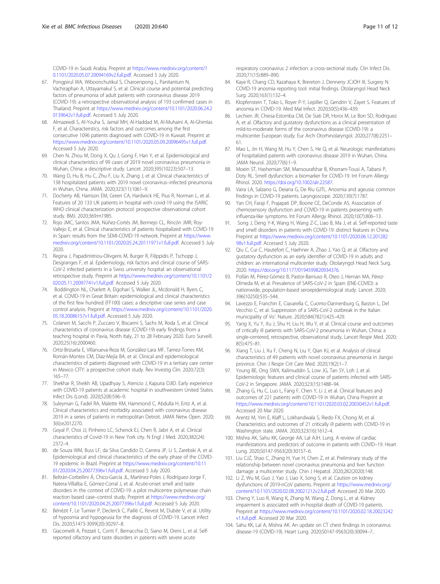<span id="page-10-0"></span>COVID-19 in Saudi Arabia. Preprint at [https://www.medrxiv.org/content/1](https://www.medrxiv.org/content/10.1101/2020.05.07.20094169v2.full.pdf) [0.1101/2020.05.07.20094169v2.full.pdf.](https://www.medrxiv.org/content/10.1101/2020.05.07.20094169v2.full.pdf) Accessed 5 July 2020.

- 67. Pongpirul WA, Wiboonchutikul S, Charoenpong L, Panitantum N, Vachiraphan A, Uttayamakul S, et al. Clinical course and potential predicting factors of pneumonia of adult patients with coronavirus disease 2019 (COVID-19): a retrospective observational analysis of 193 confirmed cases in Thailand. Preprint at [https://www.medrxiv.org/content/10.1101/2020.06.24.2](https://www.medrxiv.org/content/10.1101/2020.06.24.20139642v1.full.pdf) [0139642v1.full.pdf.](https://www.medrxiv.org/content/10.1101/2020.06.24.20139642v1.full.pdf) Accessed 5 July 2020.
- 68. Almazeedi S, Al-Youha S, Jamal MH, Al-Haddad M, Al-Muhaini A, Al-Ghimlas F, et al. Characteristics, risk factors and outcomes among the first consecutive 1096 patients diagnosed with COVID-19 in Kuwait. Preprint at <https://www.medrxiv.org/content/10.1101/2020.05.09.20096495v1.full.pdf>. Accessed 5 July 2020.
- 69. Chen N, Zhou M, Dong X, Qu J, Gong F, Han Y, et al. Epidemiological and clinical characteristics of 99 cases of 2019 novel coronavirus pneumonia in Wuhan, China: a descriptive study. Lancet. 2020;395(10223):507–13.
- 70. Wang D, Hu B, Hu C, Zhu F, Liu X, Zhang J, et al. Clinical characteristics of 138 hospitalized patients with 2019 novel coronavirus–infected pneumonia in Wuhan, China. JAMA. 2020;323(11):1061–9.
- 71. Docherty AB, Harrison EM, Green CA, Hardwick HE, Pius R, Norman L, et al. Features of 20 133 UK patients in hospital with covid-19 using the ISARIC WHO clinical characterization protocol: prospective observational cohort study. BMJ. 2020;369:m1985.
- 72. Rojo JMC, Santos JMA, Núñez-Cortés JM, Bermejo CL, Rincón JMR, Roy-Vallejo E, et al. Clinical characteristics of patients hospitalized with COVID-19 in Spain: results from the SEMI-COVID-19 network. Preprint at [https://www.](https://www.medrxiv.org/content/10.1101/2020.05.24.20111971v1.full.pdf) [medrxiv.org/content/10.1101/2020.05.24.20111971v1.full.pdf.](https://www.medrxiv.org/content/10.1101/2020.05.24.20111971v1.full.pdf) Accessed 5 July 2020.
- 73. Regina J, Papadimitriou-Olivgeris M, Burger R, Filippidis P, Tschopp J, Desgranges F, et al. Epidemiology, risk factors and clinical course of SARS-CoV-2 infected patients in a Swiss university hospital: an observational retrospective study. Preprint at [https://www.medrxiv.org/content/10.1101/2](https://www.medrxiv.org/content/10.1101/2020.05.11.20097741v1.full.pdf) [020.05.11.20097741v1.full.pdf.](https://www.medrxiv.org/content/10.1101/2020.05.11.20097741v1.full.pdf) Accessed 5 July 2020.
- 74. Boddington NL, Charlett A, Elgohari S, Walker JL, Mcdonald H, Byers C, et al. COVID-19 in Great Britain: epidemiological and clinical characteristics of the first few hundred (FF100) cases: a descriptive case series and case control analysis. Preprint at [https://www.medrxiv.org/content/10.1101/2020.](https://www.medrxiv.org/content/10.1101/2020.05.18.20086157v1.full.pdf) [05.18.20086157v1.full.pdf](https://www.medrxiv.org/content/10.1101/2020.05.18.20086157v1.full.pdf). Accessed 5 July 2020.
- 75. Colaneri M, Sacchi P, Zuccaro V, Biscarini S, Sachs M, Roda S, et al. Clinical characteristics of coronavirus disease (COVID-19) early findings from a teaching hospital in Pavia, North Italy, 21 to 28 February 2020. Euro Surveill. 2020;25(16):2000460.
- 76. Ortiz-Brizuela E, Villanueva-Reza M, González-Lara MF, Tamez-Torres KM, Román-Montes CM, Díaz-Mejía BA, et al. Clinical and epidemiological characteristics of patients diagnosed with COVID-19 in a tertiary care center in Mexico CITY: a prospective cohort study. Rev Investig Clin. 2020;72(3): 165–77.
- 77. Shekhar R, Sheikh AB, Upadhyay S, Atencio J, Kapuria DJID. Early experience with COVID-19 patients at academic hospital in southwestern United States. Infect Dis (Lond). 2020;52(8):596–9.
- 78. Suleyman G, Fadel RA, Malette KM, Hammond C, Abdulla H, Entz A, et al. Clinical characteristics and morbidity associated with coronavirus disease 2019 in a series of patients in metropolitan Detroit. JAMA Netw Open. 2020; 3(6):e2012270.
- 79. Goyal P, Choi JJ, Pinheiro LC, Schenck EJ, Chen R, Jabri A, et al. Clinical characteristics of Covid-19 in New York city. N Engl J Med. 2020;382(24): 2372–4.
- 80. de Souza WM, Buss LF, da Silva Candido D, Carrera JP, Li S, Zarebski A, et al. Epidemiological and clinical characteristics of the early phase of the COVID-19 epidemic in Brazil. Preprint at [https://www.medrxiv.org/content/10.11](https://www.medrxiv.org/content/10.1101/2020.04.25.20077396v1.full.pdf) [01/2020.04.25.20077396v1.full.pdf](https://www.medrxiv.org/content/10.1101/2020.04.25.20077396v1.full.pdf). Accessed 5 July 2020.
- 81. Beltrán-Corbellini Á, Chico-García JL, Martínez-Poles J, Rodríguez-Jorge F, Natera-Villalba E, Gómez-Corral J, et al. Acute-onset smell and taste disorders in the context of COVID-19: a pilot multicentre polymerase chain reaction based case–control study. Preprint at [https://www.medrxiv.org/](https://www.medrxiv.org/content/10.1101/2020.04.25.20077396v1.full.pdf) [content/10.1101/2020.04.25.20077396v1.full.pdf.](https://www.medrxiv.org/content/10.1101/2020.04.25.20077396v1.full.pdf) Accessed 5 July 2020.
- 82. Bénézit F, Le Turnier P, Declerck C, Paillé C, Revest M, Dubée V, et al. Utility of hyposmia and hypogeusia for the diagnosis of COVID-19. Lancet Infect Dis. 2020;S1473-3099(20):30297–8.
- 83. Giacomelli A, Pezzati L, Conti F, Bernacchia D, Siano M, Oreni L, et al. Selfreported olfactory and taste disorders in patients with severe acute

respiratory coronavirus 2 infection: a cross-sectional study. Clin Infect Dis. 2020;71(15):889–890.

- 84. Kaye R, Chang CD, Kazahaya K, Brereton J, Denneny JCJOH III, Surgery N. COVID-19 anosmia reporting tool: initial findings. Otolaryngol Head Neck Surg. 2020;163(1):132–4.
- 85. Klopfenstein T, Toko L, Royer P-Y, Lepiller Q, Gendrin V, Zayet S. Features of anosmia in COVID-19. Med Mal Infect. 2020;50(5):436–439.
- 86. Lechien JR, Chiesa-Estomba CM, De Siati DR, Horoi M, Le Bon SD, Rodriguez A, et al. Olfactory and gustatory dysfunctions as a clinical presentation of mild-to-moderate forms of the coronavirus disease (COVID-19): a multicenter European study. Eur Arch Otorhinolaryngol. 2020;277(8):2251– 61.
- 87. Mao L, Jin H, Wang M, Hu Y, Chen S, He Q, et al. Neurologic manifestations of hospitalized patients with coronavirus disease 2019 in Wuhan, China. JAMA Neurol. 2020;77(6):1–9.
- 88. Moein ST, Hashemian SM, Mansourafshar B, Khorram-Tousi A, Tabarsi P, Doty RL. Smell dysfunction: a biomarker for COVID-19. Int Forum Allergy Rhinol. 2020. <https://doi.org/10.1002/alr.22587>.
- 89. Vaira LA, Salzano G, Deiana G, De Riu GJTL. Anosmia and ageusia: common findings in COVID-19 patients. Laryngoscope. 2020;130(7):1787.
- 90. Yan CH, Faraji F, Prajapati DP, Boone CE, DeConde AS. Association of chemosensory dysfunction and COVID-19 in patients presenting with influenza-like symptoms. Int Forum Allergy Rhinol. 2020;10(7):806–13.
- 91. Song J, Deng Y-K, Wang H, Wang Z-C, Liao B, Ma J, et al. Self-reported taste and smell disorders in patients with COVID-19: distinct features in China. Preprint at [https://www.medrxiv.org/content/10.1101/2020.06.12.201282](https://www.medrxiv.org/content/10.1101/2020.06.12.20128298v1.full.pdf) [98v1.full.pdf.](https://www.medrxiv.org/content/10.1101/2020.06.12.20128298v1.full.pdf) Accessed 5 July 2020.
- 92. Qiu C, Cui C, Hautefort C, Haehner A, Zhao J, Yao Q, et al. Olfactory and gustatory dysfunction as an early identifier of COVID-19 in adults and children: an international multicenter study. Otolaryngol Head Neck Surg. 2020. [https://doi.org/10.1177/0194599820934376.](https://doi.org/10.1177/0194599820934376)
- 93. Pollán M, Pérez-Gómez B, Pastor-Barriuso R, Oteo J, Hernán MA, Pérez-Olmeda M, et al. Prevalence of SARS-CoV-2 in Spain (ENE-COVID): a nationwide, population-based seroepidemiological study. Lancet. 2020; 396(10250):535–544.
- 94. Lavezzo E, Franchin E, Ciavarella C, Cuomo-Dannenburg G, Barzon L, Del Vecchio C, et al. Suppression of a SARS-CoV-2 outbreak in the Italian municipality of Vo'. Nature. 2020;584(7821):425–429.
- 95. Yang X, Yu Y, Xu J, Shu H, Liu H, Wu Y, et al. Clinical course and outcomes of critically ill patients with SARS-CoV-2 pneumonia in Wuhan, China: a single-centered, retrospective, observational study. Lancet Respir Med. 2020; 8(5):475–81.
- 96. Xiang T, Liu J, Xu F, Cheng N, Liu Y, Qian KJ, et al. Analysis of clinical characteristics of 49 patients with novel coronavirus pneumonia in Jiangxi province. Chin J Respir Crit Care Med. 2020;19(2):1–7.
- 97. Young BE, Ong SWX, Kalimuddin S, Low JG, Tan SY, Loh J, et al. Epidemiologic features and clinical course of patients infected with SARS-CoV-2 in Singapore. JAMA. 2020;323(15):1488–94.
- 98. Zhang G, Hu C, Luo L, Fang F, Chen Y, Li J, et al. Clinical features and outcomes of 221 patients with COVID-19 in Wuhan, China Preprint at <https://www.medrxiv.org/content/10.1101/2020.03.02.20030452v1.full.pdf>. Accessed 20 Mar 2020.
- 99. Arentz M, Yim E, Klaff L, Lokhandwala S, Riedo FX, Chong M, et al. Characteristics and outcomes of 21 critically ill patients with COVID-19 in Washington state. JAMA. 2020;323(16):1612–4.
- 100. Mishra AK, Sahu KK, George AA, Lal AJH. Lung. A review of cardiac manifestations and predictors of outcome in patients with COVID–19. Heart Lung. 2020;S0147-9563(20):30157–6.
- 101. Liu CJZ, Shao C, Zhang H, Yue H, Chen Z, et al. Preliminary study of the relationship between novel coronavirus pneumonia and liver function damage: a multicenter study. Chin J Hepatol. 2020;282(2020):148.
- 102. Li Z, Wu M, Guo J, Yao J, Liao X, Song S, et al. Caution on kidney dysfunctions of 2019-nCoV patients. Preprint at [https://www.medrxiv.org/](https://www.medrxiv.org/content/10.1101/2020.02.08.20021212v2.full.pdf) [content/10.1101/2020.02.08.20021212v2.full.pdf.](https://www.medrxiv.org/content/10.1101/2020.02.08.20021212v2.full.pdf) Accessed 20 Mar 2020.
- 103. Cheng Y, Luo R, Wang K, Zhang M, Wang Z, Dong L, et al. Kidney impairment is associated with in-hospital death of COVID-19 patients. Preprint at [https://www.medrxiv.org/content/10.1101/2020.02.18.20023242](https://www.medrxiv.org/content/10.1101/2020.02.18.20023242v1.full.pdf) [v1.full.pdf.](https://www.medrxiv.org/content/10.1101/2020.02.18.20023242v1.full.pdf) Accessed 20 Mar 2020.
- 104. Sahu KK, Lal A, Mishra AK. An update on CT chest findings in coronavirus disease-19 (COVID-19). Heart Lung. 2020;S0147-9563(20):30094–7..